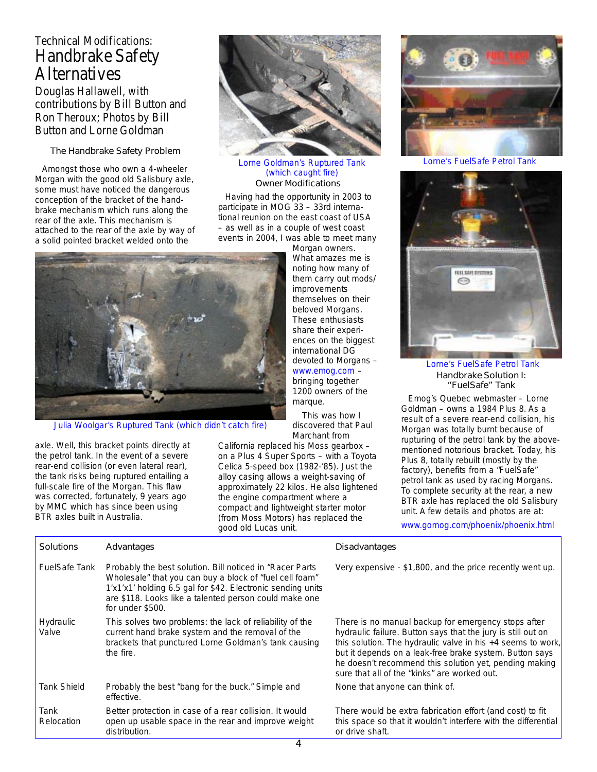## Technical Modifications: Handbrake Safety **Alternatives**

Douglas Hallawell, with contributions by Bill Button and Ron Theroux; Photos by Bill Button and Lorne Goldman

The Handbrake Safety Problem

Amongst those who own a 4-wheeler Morgan with the good old Salisbury axle, some must have noticed the dangerous conception of the bracket of the handbrake mechanism which runs along the rear of the axle. This mechanism is attached to the rear of the axle by way of a solid pointed bracket welded onto the



Owner Modifications Lorne Goldman's Ruptured Tank Lorne's FuelSafe Petrol Tank (which caught fire)

Having had the opportunity in 2003 to participate in MOG 33 – 33rd international reunion on the east coast of USA – as well as in a couple of west coast events in 2004, I was able to meet many



Julia Woolgar's Ruptured Tank (which didn't catch fire)

axle. Well, this bracket points directly at the petrol tank. In the event of a severe rear-end collision (or even lateral rear), the tank risks being ruptured entailing a full-scale fire of the Morgan. This flaw was corrected, fortunately, 9 years ago by MMC which has since been using BTR axles built in Australia.

Morgan owners. What amazes me is noting how many of them carry out mods/ improvements themselves on their beloved Morgans. These enthusiasts share their experiences on the biggest international DG devoted to Morgans – www.emog.com – bringing together 1200 owners of the marque.

 This was how I discovered that Paul Marchant from

California replaced his Moss gearbox – on a Plus 4 Super Sports – with a Toyota Celica 5-speed box (1982-'85). Just the alloy casing allows a weight-saving of approximately 22 kilos. He also lightened the engine compartment where a compact and lightweight starter motor (from Moss Motors) has replaced the good old Lucas unit.





Lorne's FuelSafe Petrol Tank Handbrake Solution I: "FuelSafe" Tank

Emog's Quebec webmaster – Lorne Goldman – owns a 1984 Plus 8. As a result of a severe rear-end collision, his Morgan was totally burnt because of rupturing of the petrol tank by the abovementioned notorious bracket. Today, his Plus 8, totally rebuilt (mostly by the factory), benefits from a "FuelSafe" petrol tank as used by racing Morgans. To complete security at the rear, a new BTR axle has replaced the old Salisbury unit. A few details and photos are at:

www.gomog.com/phoenix/phoenix.html

| Solutions            | Advantages                                                                                                                                                                                                                                                        | Disadvantages                                                                                                                                                                                                                                                                                                                                    |
|----------------------|-------------------------------------------------------------------------------------------------------------------------------------------------------------------------------------------------------------------------------------------------------------------|--------------------------------------------------------------------------------------------------------------------------------------------------------------------------------------------------------------------------------------------------------------------------------------------------------------------------------------------------|
| <b>FuelSafe Tank</b> | Probably the best solution. Bill noticed in "Racer Parts"<br>Wholesale" that you can buy a block of "fuel cell foam"<br>1'x1'x1' holding 6.5 gal for \$42. Electronic sending units<br>are \$118. Looks like a talented person could make one<br>for under \$500. | Very expensive - \$1,800, and the price recently went u                                                                                                                                                                                                                                                                                          |
| Hydraulic<br>Valve   | This solves two problems: the lack of reliability of the<br>current hand brake system and the removal of the<br>brackets that punctured Lorne Goldman's tank causing<br>the fire.                                                                                 | There is no manual backup for emergency stops after<br>hydraulic failure. Button says that the jury is still out or<br>this solution. The hydraulic valve in his +4 seems to w<br>but it depends on a leak-free brake system. Button say<br>he doesn't recommend this solution yet, pending maki<br>sure that all of the "kinks" are worked out. |
| <b>Tank Shield</b>   | Probably the best "bang for the buck." Simple and<br>effective.                                                                                                                                                                                                   | None that anyone can think of.                                                                                                                                                                                                                                                                                                                   |
| Tank<br>Relocation   | Better protection in case of a rear collision. It would<br>open up usable space in the rear and improve weight<br>distribution.                                                                                                                                   | There would be extra fabrication effort (and cost) to fit<br>this space so that it wouldn't interfere with the differen<br>or drive shaft.                                                                                                                                                                                                       |

hat the jury is still out on the in his +4 seems to work, rake system. Button says ution yet, pending making orked out.

n effort (and cost) to fit terfere with the differential